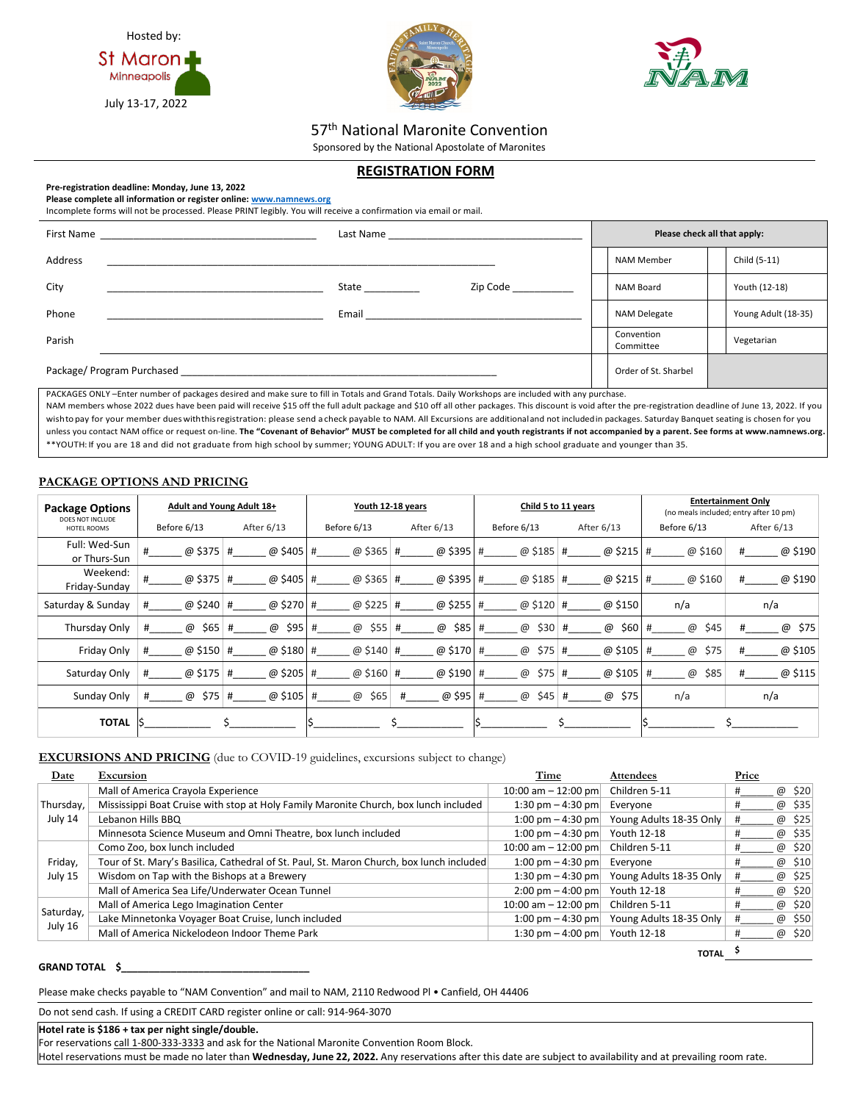





**TOTAL \$**

57<sup>th</sup> National Maronite Convention

Sponsored by the National Apostolate of Maronites

# **REGISTRATION FORM**

## **Pre-registration deadline: Monday, June 13, 2022**

**Please complete all information or register online[: www.namnews.org](http://www.namnews.org/)**

Incomplete forms will not be processed. Please PRINT legibly. You will receive a confirmation via email or mail.

| First Name<br><u> 1980 - Jan Barat, margaret al II-lea (b. 1980)</u> | Last Name and the state of the state of the state of the state of the state of the state of the state of the s |                             |  | Please check all that apply: |  |                     |  |
|----------------------------------------------------------------------|----------------------------------------------------------------------------------------------------------------|-----------------------------|--|------------------------------|--|---------------------|--|
| Address                                                              |                                                                                                                |                             |  | <b>NAM Member</b>            |  | Child (5-11)        |  |
| City                                                                 | <b>State State</b>                                                                                             | Zip Code and the Santa Code |  | NAM Board                    |  | Youth (12-18)       |  |
| Phone                                                                | Email <b>Exercise Service Service</b>                                                                          |                             |  | NAM Delegate                 |  | Young Adult (18-35) |  |
| Parish                                                               |                                                                                                                |                             |  | Convention<br>Committee      |  | Vegetarian          |  |
| Package/ Program Purchased                                           |                                                                                                                |                             |  | Order of St. Sharbel         |  |                     |  |

PACKAGES ONLY –Enter number of packages desired and make sure to fill in Totals and Grand Totals. Daily Workshops are included with any purchase. NAM members whose 2022 dues have been paid will receive \$15 off the full adult package and \$10 off all other packages. This discount is void after the pre-registration deadline of June 13, 2022. If you wishtopay for your member dueswiththisregistration: please send a check payable to NAM. All Excursions are additionaland not includedin packages. Saturday Banquet seating is chosen for you unless you contact NAM office or request on-line. **The "Covenant of Behavior" MUST be completed for all child and youth registrants if not accompanied by a parent. See forms at www.namnews.org.** \*\*YOUTH: If you are 18 and did not graduate from high school by summer; YOUNG ADULT: If you are over 18 and a high school graduate and younger than 35.

## **PACKAGE OPTIONS AND PRICING**

| <b>Package Options</b>          | Adult and Young Adult 18+ |                | Youth 12-18 years     |                |                | Child 5 to 11 years | <b>Entertainment Only</b><br>(no meals included; entry after 10 pm) |              |  |
|---------------------------------|---------------------------|----------------|-----------------------|----------------|----------------|---------------------|---------------------------------------------------------------------|--------------|--|
| DOES NOT INCLUDE<br>HOTEL ROOMS | Before 6/13               | After 6/13     | Before 6/13           | After 6/13     | Before 6/13    | After 6/13          | Before 6/13                                                         | After 6/13   |  |
| Full: Wed-Sun<br>or Thurs-Sun   | @ \$375 #<br>#            | @\$405#        | @\$365 #              | @\$395#        | @\$185 #       | @ \$215 #           | @ \$160                                                             | @ \$190<br># |  |
| Weekend:<br>Friday-Sunday       | #<br>@ \$375              | @\$405#<br>#   | @ \$365               | @\$395#<br>#   | @ \$185   #    | @ \$215 #           | @ \$160                                                             | @ \$190<br># |  |
| Saturday & Sunday               | @ \$240                   | @ \$270<br>#   | @ \$225<br>#          | @ \$255 #<br># | @ \$120        | @ \$150<br>#        | n/a                                                                 | n/a          |  |
| Thursday Only                   | #<br>@<br>\$65            | @<br>\$95<br># | @<br>\$55<br>#        | @<br>\$85<br># | \$30<br>@<br># | \$60<br>@<br>#      | $^{\copyright}$<br>\$45                                             | \$75<br>@    |  |
| Friday Only                     | @ \$150                   | @ \$180<br>#   | @ $$140$<br>#         | @ \$170 #<br># | @<br>\$75      | @ \$105<br>#        | \$75<br>@                                                           | @ \$105<br># |  |
| Saturday Only                   | @ \$175<br>#              | @ \$205 #<br># | @ \$160 $#$           | @ \$190        | \$75<br>@<br># | @ \$105<br>#        | \$85<br>$\omega$<br>#                                               | @ \$115<br># |  |
| Sunday Only                     | \$75<br>@<br>#            | @ \$105<br>#   | \$65<br>$\omega$<br># | @ \$95<br>#    | \$45<br>@<br># | \$75<br>@<br>#      | n/a                                                                 | n/a          |  |
| <b>TOTAL</b>                    | ۱S                        |                |                       |                |                |                     |                                                                     |              |  |

**EXCURSIONS AND PRICING** (due to COVID-19 guidelines, excursions subject to change)

| Date                 | Excursion                                                                                | Time                                | <b>Attendees</b>        | Price       |
|----------------------|------------------------------------------------------------------------------------------|-------------------------------------|-------------------------|-------------|
|                      | Mall of America Crayola Experience                                                       | 10:00 am $-$ 12:00 pm               | Children 5-11           | @ \$20      |
| Thursday,            | Mississippi Boat Cruise with stop at Holy Family Maronite Church, box lunch included     | 1:30 pm $-$ 4:30 pm                 | Evervone                | @ \$35      |
| July 14              | Lebanon Hills BBQ                                                                        | 1:00 pm $-$ 4:30 pm                 | Young Adults 18-35 Only | @ \$25      |
|                      | Minnesota Science Museum and Omni Theatre, box lunch included                            | 1:00 pm $-$ 4:30 pm                 | Youth 12-18             | @ \$35      |
| Friday,              | Como Zoo, box lunch included                                                             | 10:00 am $-$ 12:00 pm               | Children 5-11           | @ \$20      |
|                      | Tour of St. Mary's Basilica, Cathedral of St. Paul, St. Maron Church, box lunch included | 1:00 pm $-$ 4:30 pm                 | Everyone                | \$10<br>@   |
| July 15              | Wisdom on Tap with the Bishops at a Brewery                                              | 1:30 pm $-$ 4:30 pm                 | Young Adults 18-35 Only | @ \$25<br># |
|                      | Mall of America Sea Life/Underwater Ocean Tunnel                                         | $2:00 \text{ pm} - 4:00 \text{ pm}$ | Youth 12-18             | @ \$20      |
| Saturday,<br>July 16 | Mall of America Lego Imagination Center                                                  | 10:00 am $-$ 12:00 pm               | Children 5-11           | \$20<br>@   |
|                      | Lake Minnetonka Voyager Boat Cruise, lunch included                                      | 1:00 pm $-$ 4:30 pm                 | Young Adults 18-35 Only | @ \$50      |
|                      | Mall of America Nickelodeon Indoor Theme Park                                            | 1:30 pm $-$ 4:00 pm                 | Youth 12-18             | \$20<br>@   |

## **GRAND TOTAL \$\_\_\_\_\_\_\_\_\_\_\_\_\_\_\_\_\_\_\_\_\_\_\_\_\_\_\_\_\_\_\_\_\_\_**

Please make checks payable to "NAM Convention" and mail to NAM, 2110 Redwood Pl • Canfield, OH 44406

Do not send cash. If using a CREDIT CARD register online or call: 914-964-3070

**Hotel rate is \$186 + tax per night single/double.**

For reservations call 1-800-333-3333 and ask for the National Maronite Convention Room Block.

Hotel reservations must be made no later than **Wednesday, June 22, 2022.** Any reservations after this date are subject to availability and at prevailing room rate.